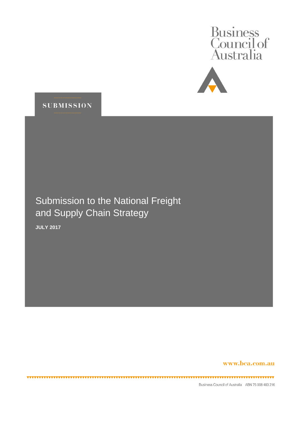





# Submission to the National Freight and Supply Chain Strategy

**JULY 2017**

**\*\*\*\*\*\*\*\*\*\*\*\*\*\*\*** 

,,,,,,,,,,,,,,,,,,,,,,,,,,,,,

www.bca.com.au

Business Council of Australia ABN 75 008 483 216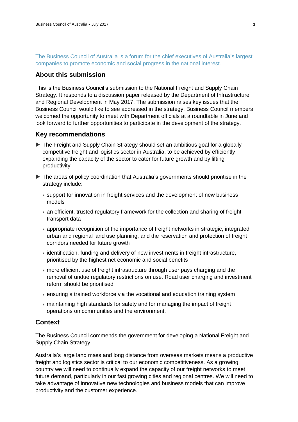The Business Council of Australia is a forum for the chief executives of Australia's largest companies to promote economic and social progress in the national interest.

# **About this submission**

This is the Business Council's submission to the National Freight and Supply Chain Strategy. It responds to a discussion paper released by the Department of Infrastructure and Regional Development in May 2017. The submission raises key issues that the Business Council would like to see addressed in the strategy. Business Council members welcomed the opportunity to meet with Department officials at a roundtable in June and look forward to further opportunities to participate in the development of the strategy.

## **Key recommendations**

- ▶ The Freight and Supply Chain Strategy should set an ambitious goal for a globally competitive freight and logistics sector in Australia, to be achieved by efficiently expanding the capacity of the sector to cater for future growth and by lifting productivity.
- The areas of policy coordination that Australia's governments should prioritise in the strategy include:
	- support for innovation in freight services and the development of new business models
	- an efficient, trusted regulatory framework for the collection and sharing of freight transport data
	- appropriate recognition of the importance of freight networks in strategic, integrated urban and regional land use planning, and the reservation and protection of freight corridors needed for future growth
	- identification, funding and delivery of new investments in freight infrastructure, prioritised by the highest net economic and social benefits
	- more efficient use of freight infrastructure through user pays charging and the removal of undue regulatory restrictions on use. Road user charging and investment reform should be prioritised
	- ensuring a trained workforce via the vocational and education training system
	- maintaining high standards for safety and for managing the impact of freight operations on communities and the environment.

# **Context**

The Business Council commends the government for developing a National Freight and Supply Chain Strategy.

Australia's large land mass and long distance from overseas markets means a productive freight and logistics sector is critical to our economic competitiveness. As a growing country we will need to continually expand the capacity of our freight networks to meet future demand, particularly in our fast growing cities and regional centres. We will need to take advantage of innovative new technologies and business models that can improve productivity and the customer experience.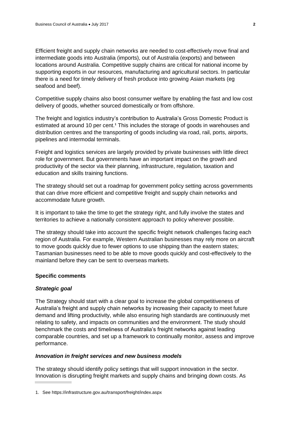Efficient freight and supply chain networks are needed to cost-effectively move final and intermediate goods into Australia (imports), out of Australia (exports) and between locations around Australia. Competitive supply chains are critical for national income by supporting exports in our resources, manufacturing and agricultural sectors. In particular there is a need for timely delivery of fresh produce into growing Asian markets (eg seafood and beef).

Competitive supply chains also boost consumer welfare by enabling the fast and low cost delivery of goods, whether sourced domestically or from offshore.

The freight and logistics industry's contribution to Australia's Gross Domestic Product is estimated at around 10 per cent.**<sup>1</sup>** This includes the storage of goods in warehouses and distribution centres and the transporting of goods including via road, rail, ports, airports, pipelines and intermodal terminals.

Freight and logistics services are largely provided by private businesses with little direct role for government. But governments have an important impact on the growth and productivity of the sector via their planning, infrastructure, regulation, taxation and education and skills training functions.

The strategy should set out a roadmap for government policy setting across governments that can drive more efficient and competitive freight and supply chain networks and accommodate future growth.

It is important to take the time to get the strategy right, and fully involve the states and territories to achieve a nationally consistent approach to policy wherever possible.

The strategy should take into account the specific freight network challenges facing each region of Australia. For example, Western Australian businesses may rely more on aircraft to move goods quickly due to fewer options to use shipping than the eastern states; Tasmanian businesses need to be able to move goods quickly and cost-effectively to the mainland before they can be sent to overseas markets.

#### **Specific comments**

#### *Strategic goal*

The Strategy should start with a clear goal to increase the global competitiveness of Australia's freight and supply chain networks by increasing their capacity to meet future demand and lifting productivity, while also ensuring high standards are continuously met relating to safety, and impacts on communities and the environment. The study should benchmark the costs and timeliness of Australia's freight networks against leading comparable countries, and set up a framework to continually monitor, assess and improve performance.

#### *Innovation in freight services and new business models*

The strategy should identify policy settings that will support innovation in the sector. Innovation is disrupting freight markets and supply chains and bringing down costs. As

<sup>1.</sup> See https://infrastructure.gov.au/transport/freight/index.aspx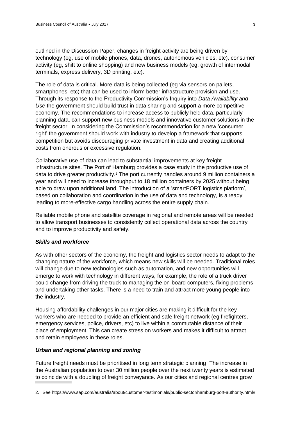outlined in the Discussion Paper, changes in freight activity are being driven by technology (eg, use of mobile phones, data, drones, autonomous vehicles, etc), consumer activity (eg, shift to online shopping) and new business models (eg, growth of intermodal terminals, express delivery, 3D printing, etc).

The role of data is critical. More data is being collected (eg via sensors on pallets, smartphones, etc) that can be used to inform better infrastructure provision and use. Through its response to the Productivity Commission's Inquiry into *Data Availability and Use* the government should build trust in data sharing and support a more competitive economy. The recommendations to increase access to publicly held data, particularly planning data, can support new business models and innovative customer solutions in the freight sector. In considering the Commission's recommendation for a new 'consumer right' the government should work with industry to develop a framework that supports competition but avoids discouraging private investment in data and creating additional costs from onerous or excessive regulation.

Collaborative use of data can lead to substantial improvements at key freight infrastructure sites. The Port of Hamburg provides a case study in the productive use of data to drive greater productivity.**<sup>2</sup>** The port currently handles around 9 million containers a year and will need to increase throughput to 18 million containers by 2025 without being able to draw upon additional land. The introduction of a 'smartPORT logistics platform', based on collaboration and coordination in the use of data and technology, is already leading to more-effective cargo handling across the entire supply chain.

Reliable mobile phone and satellite coverage in regional and remote areas will be needed to allow transport businesses to consistently collect operational data across the country and to improve productivity and safety.

#### *Skills and workforce*

As with other sectors of the economy, the freight and logistics sector needs to adapt to the changing nature of the workforce, which means new skills will be needed. Traditional roles will change due to new technologies such as automation, and new opportunities will emerge to work with technology in different ways, for example, the role of a truck driver could change from driving the truck to managing the on-board computers, fixing problems and undertaking other tasks. There is a need to train and attract more young people into the industry.

Housing affordability challenges in our major cities are making it difficult for the key workers who are needed to provide an efficient and safe freight network (eg firefighters, emergency services, police, drivers, etc) to live within a commutable distance of their place of employment. This can create stress on workers and makes it difficult to attract and retain employees in these roles.

### *Urban and regional planning and zoning*

Future freight needs must be prioritised in long term strategic planning. The increase in the Australian population to over 30 million people over the next twenty years is estimated to coincide with a doubling of freight conveyance. As our cities and regional centres grow

<sup>2.</sup> See https://www.sap.com/australia/about/customer-testimonials/public-sector/hamburg-port-authority.html#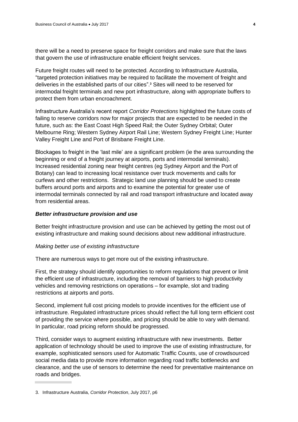there will be a need to preserve space for freight corridors and make sure that the laws that govern the use of infrastructure enable efficient freight services.

Future freight routes will need to be protected. According to Infrastructure Australia, "targeted protection initiatives may be required to facilitate the movement of freight and deliveries in the established parts of our cities". **<sup>3</sup>** Sites will need to be reserved for intermodal freight terminals and new port infrastructure, along with appropriate buffers to protect them from urban encroachment.

Infrastructure Australia's recent report *Corridor Protections* highlighted the future costs of failing to reserve corridors now for major projects that are expected to be needed in the future, such as: the East Coast High Speed Rail; the Outer Sydney Orbital; Outer Melbourne Ring; Western Sydney Airport Rail Line; Western Sydney Freight Line; Hunter Valley Freight Line and Port of Brisbane Freight Line.

Blockages to freight in the 'last mile' are a significant problem (ie the area surrounding the beginning or end of a freight journey at airports, ports and intermodal terminals). Increased residential zoning near freight centres (eg Sydney Airport and the Port of Botany) can lead to increasing local resistance over truck movements and calls for curfews and other restrictions. Strategic land use planning should be used to create buffers around ports and airports and to examine the potential for greater use of intermodal terminals connected by rail and road transport infrastructure and located away from residential areas.

## *Better infrastructure provision and use*

Better freight infrastructure provision and use can be achieved by getting the most out of existing infrastructure and making sound decisions about new additional infrastructure.

## *Making better use of existing infrastructure*

There are numerous ways to get more out of the existing infrastructure.

First, the strategy should identify opportunities to reform regulations that prevent or limit the efficient use of infrastructure, including the removal of barriers to high productivity vehicles and removing restrictions on operations – for example, slot and trading restrictions at airports and ports.

Second, implement full cost pricing models to provide incentives for the efficient use of infrastructure. Regulated infrastructure prices should reflect the full long term efficient cost of providing the service where possible, and pricing should be able to vary with demand. In particular, road pricing reform should be progressed.

Third, consider ways to augment existing infrastructure with new investments. Better application of technology should be used to improve the use of existing infrastructure, for example, sophisticated sensors used for Automatic Traffic Counts, use of crowdsourced social media data to provide more information regarding road traffic bottlenecks and clearance, and the use of sensors to determine the need for preventative maintenance on roads and bridges.

<sup>3.</sup> Infrastructure Australia, *Corridor Protection*, July 2017, p6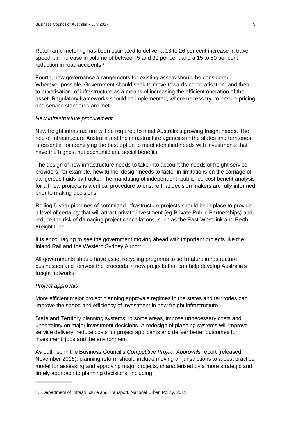Road ramp metering has been estimated to deliver a 13 to 26 per cent increase in travel speed, an increase in volume of between 5 and 30 per cent and a 15 to 50 per cent reduction in road accidents.**<sup>4</sup>**

Fourth, new governance arrangements for existing assets should be considered. Wherever possible, Government should seek to move towards corporatisation, and then to privatisation, of infrastructure as a means of increasing the efficient operation of the asset. Regulatory frameworks should be implemented, where necessary, to ensure pricing and service standards are met.

#### *New infrastructure procurement*

New freight infrastructure will be required to meet Australia's growing freight needs. The role of Infrastructure Australia and the infrastructure agencies in the states and territories is essential for identifying the best option to meet identified needs with investments that have the highest net economic and social benefits.

The design of new infrastructure needs to take into account the needs of freight service providers, for example, new tunnel design needs to factor in limitations on the carriage of dangerous fluids by trucks. The mandating of independent, published cost benefit analysis for all new projects is a critical procedure to ensure that decision makers are fully informed prior to making decisions.

Rolling 5-year pipelines of committed infrastructure projects should be in place to provide a level of certainty that will attract private investment (eg Private Public Partnerships) and reduce the risk of damaging project cancellations, such as the East-West link and Perth Freight Link.

It is encouraging to see the government moving ahead with important projects like the Inland Rail and the Western Sydney Airport.

All governments should have asset recycling programs to sell mature infrastructure businesses and reinvest the proceeds in new projects that can help develop Australia's freight networks.

#### *Project approvals*

More efficient major project planning approvals regimes in the states and territories can improve the speed and efficiency of investment in new freight infrastructure.

State and Territory planning systems, in some areas, impose unnecessary costs and uncertainty on major investment decisions. A redesign of planning systems will improve service delivery, reduce costs for project applicants and deliver better outcomes for investment, jobs and the environment.

As outlined in the Business Council's *Competitive Project Approvals* report (released November 2016), planning reform should include moving all jurisdictions to a best practice model for assessing and approving major projects, characterised by a more strategic and timely approach to planning decisions, including:

<sup>4.</sup> Department of Infrastructure and Transport, National Urban Policy, 2011.